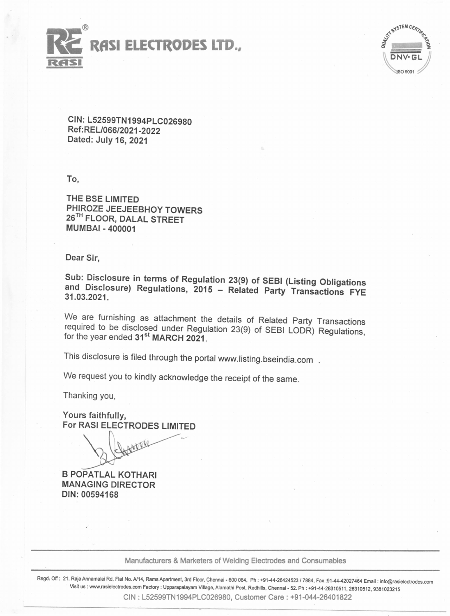



CIN:L52599TN1994PLC026980 Ref: RELl066/2021-2022 Dated: July 16, 2021

To,

THE BSE LIMITED PHIROZE JEEJEEBHOY TOWERS 26<sup>TH</sup> FLOOR, DALAL STREET MUMBAI - 400001

Dear Sir,

Sub: Disclosure in terms of Regulation 23(9) of SEBI (Listing Obligations and Disclosure) Regulations, 2015 - Related Party Transactions FYE 31.03.2021.

We are furnishing as attachment the details of Related Party Transactions required to be disclosed under Regulation 23(9) of SEBI LODR) Regulations, for the year ended 31<sup>st</sup> MARCH 2021.

This disclosure is filed through the portal www.listing.bseindia.com

We request you to kindly acknowledge the receipt of the same.

Thanking you,

Yours faithfully, For RASI ELECTRODES LIMITED

WILL

8 POPATLAL KOTHARI MANAGING DIRECTOR DIN: 00594168

Manufacturers & Marketers of Welding Electrodes and Consumables

Regd. Off: 21. Raja Annamalai Rd. Flat No. *Al14.* Rams Apartment. 3rd Floor. Chennai • 600 084. Ph: *+91-44·26424523/7884.* Fax:91-44-42027464 Email : info@rasieJectrodes.com Visit us: www.rasielectrodes.com Factory: Upparapalayam Village, Alamathi Post, Redhills, Chennai - 52. Ph: +91-44-26310511, 26310512, 9381023215 CIN : L52599TN1994PLC026980, Customer Care: +91-044-26401822